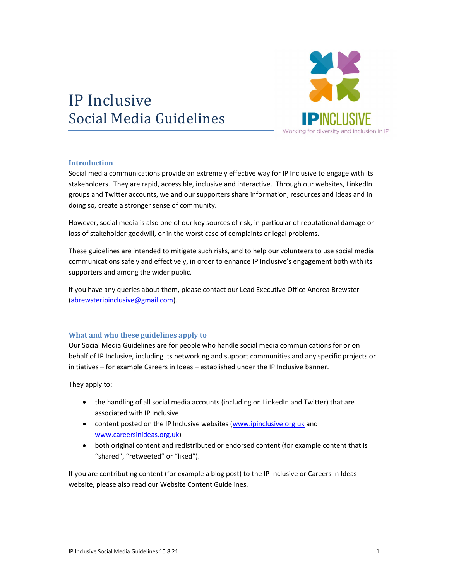# IP Inclusive Social Media Guidelines



#### **Introduction**

Social media communications provide an extremely effective way for IP Inclusive to engage with its stakeholders. They are rapid, accessible, inclusive and interactive. Through our websites, LinkedIn groups and Twitter accounts, we and our supporters share information, resources and ideas and in doing so, create a stronger sense of community.

However, social media is also one of our key sources of risk, in particular of reputational damage or loss of stakeholder goodwill, or in the worst case of complaints or legal problems.

These guidelines are intended to mitigate such risks, and to help our volunteers to use social media communications safely and effectively, in order to enhance IP Inclusive's engagement both with its supporters and among the wider public.

If you have any queries about them, please contact our Lead Executive Office Andrea Brewster (abrewsteripinclusive@gmail.com).

#### What and who these guidelines apply to

Our Social Media Guidelines are for people who handle social media communications for or on behalf of IP Inclusive, including its networking and support communities and any specific projects or initiatives – for example Careers in Ideas – established under the IP Inclusive banner.

They apply to:

- the handling of all social media accounts (including on LinkedIn and Twitter) that are associated with IP Inclusive
- content posted on the IP Inclusive websites (www.ipinclusive.org.uk and www.careersinideas.org.uk)
- both original content and redistributed or endorsed content (for example content that is "shared", "retweeted" or "liked").

If you are contributing content (for example a blog post) to the IP Inclusive or Careers in Ideas website, please also read our Website Content Guidelines.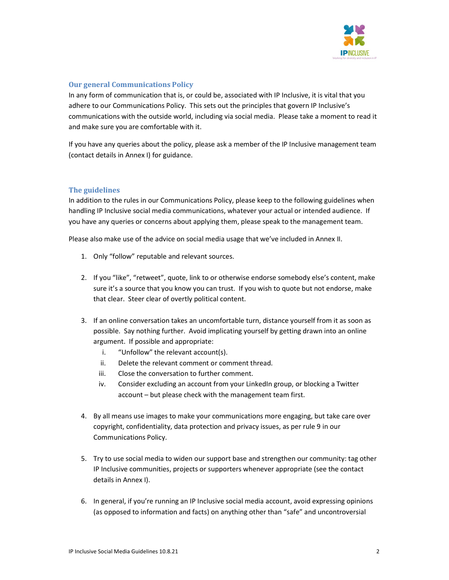

### Our general Communications Policy

In any form of communication that is, or could be, associated with IP Inclusive, it is vital that you adhere to our Communications Policy. This sets out the principles that govern IP Inclusive's communications with the outside world, including via social media. Please take a moment to read it and make sure you are comfortable with it.

If you have any queries about the policy, please ask a member of the IP Inclusive management team (contact details in Annex I) for guidance.

#### The guidelines

In addition to the rules in our Communications Policy, please keep to the following guidelines when handling IP Inclusive social media communications, whatever your actual or intended audience. If you have any queries or concerns about applying them, please speak to the management team.

Please also make use of the advice on social media usage that we've included in Annex II.

- 1. Only "follow" reputable and relevant sources.
- 2. If you "like", "retweet", quote, link to or otherwise endorse somebody else's content, make sure it's a source that you know you can trust. If you wish to quote but not endorse, make that clear. Steer clear of overtly political content.
- 3. If an online conversation takes an uncomfortable turn, distance yourself from it as soon as possible. Say nothing further. Avoid implicating yourself by getting drawn into an online argument. If possible and appropriate:
	- i. "Unfollow" the relevant account(s).
	- ii. Delete the relevant comment or comment thread.
	- iii. Close the conversation to further comment.
	- iv. Consider excluding an account from your LinkedIn group, or blocking a Twitter account – but please check with the management team first.
- 4. By all means use images to make your communications more engaging, but take care over copyright, confidentiality, data protection and privacy issues, as per rule 9 in our Communications Policy.
- 5. Try to use social media to widen our support base and strengthen our community: tag other IP Inclusive communities, projects or supporters whenever appropriate (see the contact details in Annex I).
- 6. In general, if you're running an IP Inclusive social media account, avoid expressing opinions (as opposed to information and facts) on anything other than "safe" and uncontroversial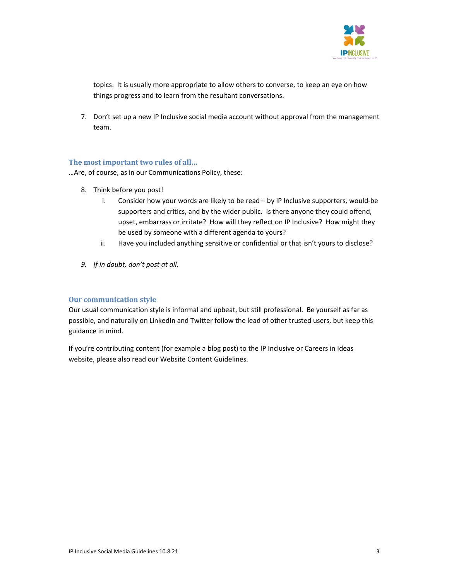

topics. It is usually more appropriate to allow others to converse, to keep an eye on how things progress and to learn from the resultant conversations.

7. Don't set up a new IP Inclusive social media account without approval from the management team.

#### The most important two rules of all…

…Are, of course, as in our Communications Policy, these:

- 8. Think before you post!
	- i. Consider how your words are likely to be read by IP Inclusive supporters, would-be supporters and critics, and by the wider public. Is there anyone they could offend, upset, embarrass or irritate? How will they reflect on IP Inclusive? How might they be used by someone with a different agenda to yours?
	- ii. Have you included anything sensitive or confidential or that isn't yours to disclose?
- 9. If in doubt, don't post at all.

#### Our communication style

Our usual communication style is informal and upbeat, but still professional. Be yourself as far as possible, and naturally on LinkedIn and Twitter follow the lead of other trusted users, but keep this guidance in mind.

If you're contributing content (for example a blog post) to the IP Inclusive or Careers in Ideas website, please also read our Website Content Guidelines.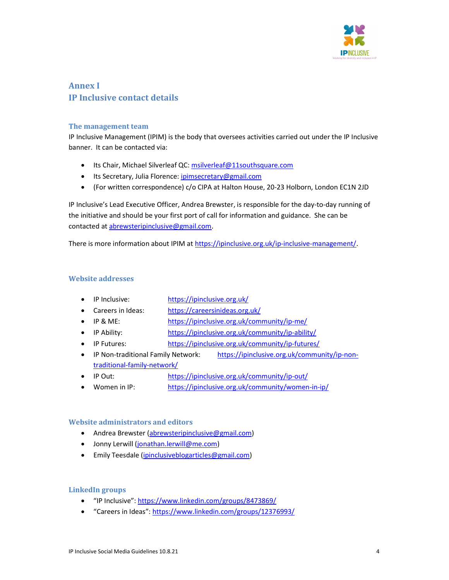

# Annex I IP Inclusive contact details

#### The management team

IP Inclusive Management (IPIM) is the body that oversees activities carried out under the IP Inclusive banner. It can be contacted via:

- Its Chair, Michael Silverleaf QC: msilverleaf@11southsquare.com
- Its Secretary, Julia Florence: ipimsecretary@gmail.com
- (For written correspondence) c/o CIPA at Halton House, 20-23 Holborn, London EC1N 2JD

IP Inclusive's Lead Executive Officer, Andrea Brewster, is responsible for the day-to-day running of the initiative and should be your first port of call for information and guidance. She can be contacted at abrewsteripinclusive@gmail.com.

There is more information about IPIM at https://ipinclusive.org.uk/ip-inclusive-management/.

# Website addresses

- IP Inclusive: https://ipinclusive.org.uk/
- Careers in Ideas: https://careersinideas.org.uk/
- IP & ME: https://ipinclusive.org.uk/community/ip-me/
- IP Ability: https://ipinclusive.org.uk/community/ip-ability/
- IP Futures: https://ipinclusive.org.uk/community/ip-futures/
- IP Non-traditional Family Network: https://ipinclusive.org.uk/community/ip-nontraditional-family-network/
- IP Out: https://ipinclusive.org.uk/community/ip-out/
- Women in IP: https://ipinclusive.org.uk/community/women-in-ip/

# Website administrators and editors

- Andrea Brewster (abrewsteripinclusive@gmail.com)
- Jonny Lerwill (jonathan.lerwill@me.com)
- **Emily Teesdale (ipinclusiveblogarticles@gmail.com)**

# LinkedIn groups

- "IP Inclusive": https://www.linkedin.com/groups/8473869/
- "Careers in Ideas": https://www.linkedin.com/groups/12376993/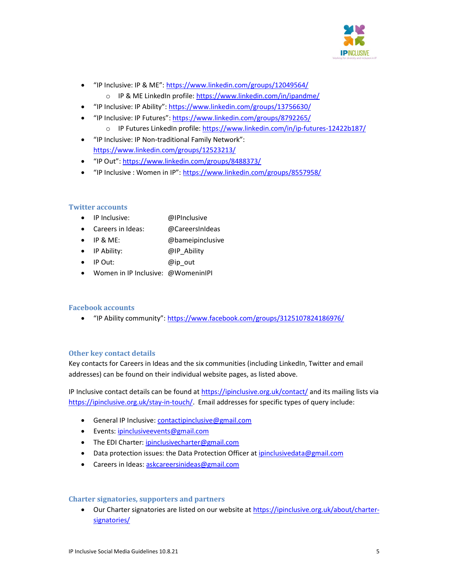

- "IP Inclusive: IP & ME": https://www.linkedin.com/groups/12049564/
	- o IP & ME LinkedIn profile: https://www.linkedin.com/in/ipandme/
- "IP Inclusive: IP Ability": https://www.linkedin.com/groups/13756630/
	- "IP Inclusive: IP Futures": https://www.linkedin.com/groups/8792265/
		- o IP Futures LinkedIn profile: https://www.linkedin.com/in/ip-futures-12422b187/
- "IP Inclusive: IP Non-traditional Family Network": https://www.linkedin.com/groups/12523213/
- "IP Out": https://www.linkedin.com/groups/8488373/
- "IP Inclusive : Women in IP": https://www.linkedin.com/groups/8557958/

# Twitter accounts

- IP Inclusive: @IPInclusive
- Careers in Ideas: @CareersInIdeas
- IP & ME: and @bameipinclusive
- IP Ability: @IP\_Ability
- IP Out: @ip\_out
- Women in IP Inclusive: @WomeninIPI

#### Facebook accounts

"IP Ability community": https://www.facebook.com/groups/3125107824186976/

#### Other key contact details

Key contacts for Careers in Ideas and the six communities (including LinkedIn, Twitter and email addresses) can be found on their individual website pages, as listed above.

IP Inclusive contact details can be found at https://ipinclusive.org.uk/contact/ and its mailing lists via https://ipinclusive.org.uk/stay-in-touch/. Email addresses for specific types of query include:

- **•** General IP Inclusive: contactipinclusive@gmail.com
- **Events:** ipinclusiveevents@gmail.com
- The EDI Charter: ipinclusivecharter@gmail.com
- Data protection issues: the Data Protection Officer at *ipinclusivedata@gmail.com*
- Careers in Ideas: askcareersinideas@gmail.com

#### Charter signatories, supporters and partners

 Our Charter signatories are listed on our website at https://ipinclusive.org.uk/about/chartersignatories/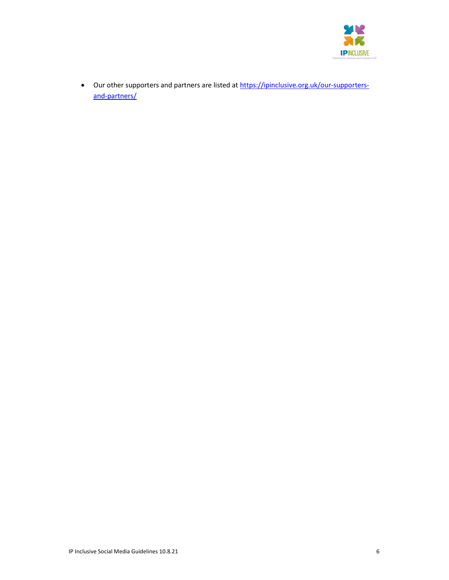

 Our other supporters and partners are listed at https://ipinclusive.org.uk/our-supportersand-partners/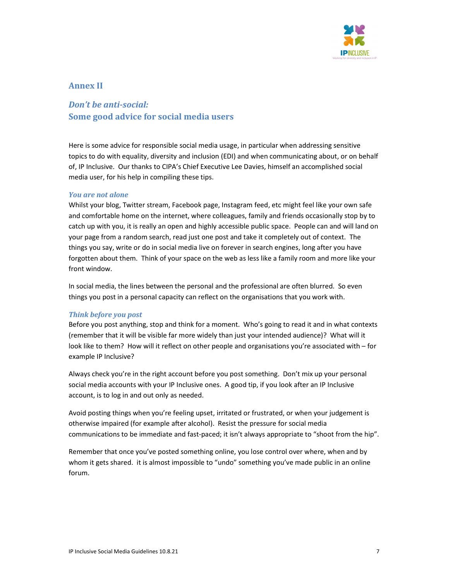

# Annex II

# Don't be anti-social: Some good advice for social media users

Here is some advice for responsible social media usage, in particular when addressing sensitive topics to do with equality, diversity and inclusion (EDI) and when communicating about, or on behalf of, IP Inclusive. Our thanks to CIPA's Chief Executive Lee Davies, himself an accomplished social media user, for his help in compiling these tips.

#### You are not alone

Whilst your blog, Twitter stream, Facebook page, Instagram feed, etc might feel like your own safe and comfortable home on the internet, where colleagues, family and friends occasionally stop by to catch up with you, it is really an open and highly accessible public space. People can and will land on your page from a random search, read just one post and take it completely out of context. The things you say, write or do in social media live on forever in search engines, long after you have forgotten about them. Think of your space on the web as less like a family room and more like your front window.

In social media, the lines between the personal and the professional are often blurred. So even things you post in a personal capacity can reflect on the organisations that you work with.

#### Think before you post

Before you post anything, stop and think for a moment. Who's going to read it and in what contexts (remember that it will be visible far more widely than just your intended audience)? What will it look like to them? How will it reflect on other people and organisations you're associated with – for example IP Inclusive?

Always check you're in the right account before you post something. Don't mix up your personal social media accounts with your IP Inclusive ones. A good tip, if you look after an IP Inclusive account, is to log in and out only as needed.

Avoid posting things when you're feeling upset, irritated or frustrated, or when your judgement is otherwise impaired (for example after alcohol). Resist the pressure for social media communications to be immediate and fast-paced; it isn't always appropriate to "shoot from the hip".

Remember that once you've posted something online, you lose control over where, when and by whom it gets shared. it is almost impossible to "undo" something you've made public in an online forum.